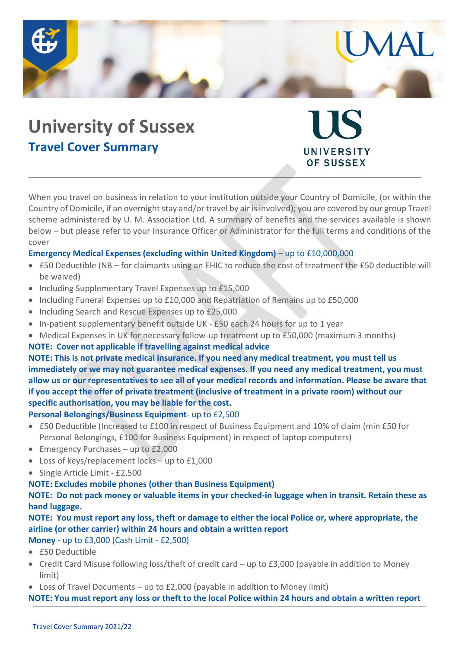

# **University of Sussex Travel Cover Summary**

When you travel on business in relation to your institution outside your Country of Domicile, (or within the Country of Domicile, if an overnight stay and/or travel by air is involved); you are covered by our group Travel scheme administered by U. M. Association Ltd. A summary of benefits and the services available is shown below – but please refer to your Insurance Officer or Administrator for the full terms and conditions of the cover

UNIVERSITY **OF SUSSEX** 

# **Emergency Medical Expenses (excluding within United Kingdom)** – up to £10,000,000

- £50 Deductible (NB for claimants using an EHIC to reduce the cost of treatment the £50 deductible will be waived)
- Including Supplementary Travel Expenses up to £15,000
- Including Funeral Expenses up to £10,000 and Repatriation of Remains up to £50,000
- Including Search and Rescue Expenses up to £25,000
- In-patient supplementary benefit outside UK £50 each 24 hours for up to 1 year
- Medical Expenses in UK for necessary follow-up treatment up to £50,000 (maximum 3 months)

#### **NOTE: Cover not applicable if travelling against medical advice**

**NOTE: This is not private medical insurance. If you need any medical treatment, you must tell us immediately or we may not guarantee medical expenses. If you need any medical treatment, you must allow us or our representatives to see all of your medical records and information. Please be aware that if you accept the offer of private treatment (inclusive of treatment in a private room) without our specific authorisation, you may be liable for the cost.**

#### **Personal Belongings/Business Equipment**- up to £2,500

- £50 Deductible (Increased to £100 in respect of Business Equipment and 10% of claim (min £50 for Personal Belongings, £100 for Business Equipment) in respect of laptop computers)
- Emergency Purchases up to £2,000
- Loss of keys/replacement locks up to £1,000
- Single Article Limit £2,500

#### **NOTE: Excludes mobile phones (other than Business Equipment)**

**NOTE: Do not pack money or valuable items in your checked-in luggage when in transit. Retain these as hand luggage.**

# **NOTE: You must report any loss, theft or damage to either the local Police or, where appropriate, the airline (or other carrier) within 24 hours and obtain a written report**

**Money** - up to £3,000 (Cash Limit - £2,500)

- £50 Deductible
- Credit Card Misuse following loss/theft of credit card up to £3,000 (payable in addition to Money limit)
- $\bullet$  Loss of Travel Documents up to £2,000 (payable in addition to Money limit)

**NOTE: You must report any loss or theft to the local Police within 24 hours and obtain a written report**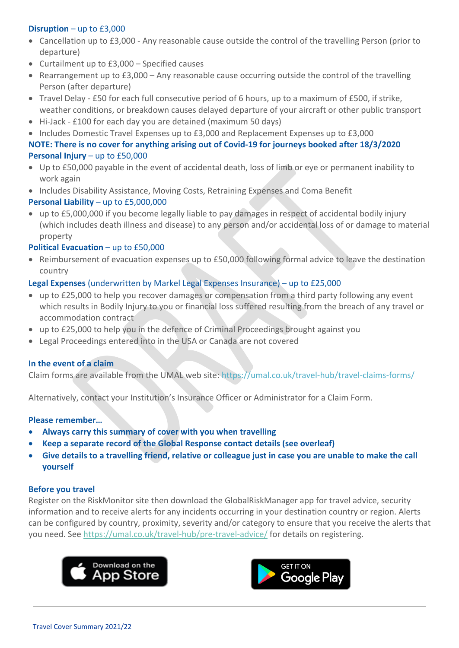# **Disruption** – up to £3,000

- Cancellation up to £3,000 Any reasonable cause outside the control of the travelling Person (prior to departure)
- Curtailment up to £3,000 Specified causes
- Rearrangement up to  $£3,000 Any$  reasonable cause occurring outside the control of the travelling Person (after departure)
- Travel Delay £50 for each full consecutive period of 6 hours, up to a maximum of £500, if strike, weather conditions, or breakdown causes delayed departure of your aircraft or other public transport
- Hi-Jack £100 for each day you are detained (maximum 50 days)
- Includes Domestic Travel Expenses up to £3,000 and Replacement Expenses up to £3,000

# **NOTE: There is no cover for anything arising out of Covid-19 for journeys booked after 18/3/2020 Personal Injury** – up to £50,000

- Up to £50,000 payable in the event of accidental death, loss of limb or eye or permanent inability to work again
- Includes Disability Assistance, Moving Costs, Retraining Expenses and Coma Benefit

# **Personal Liability** – up to £5,000,000

 up to £5,000,000 if you become legally liable to pay damages in respect of accidental bodily injury (which includes death illness and disease) to any person and/or accidental loss of or damage to material property

## **Political Evacuation – up to £50,000**

 Reimbursement of evacuation expenses up to £50,000 following formal advice to leave the destination country

## **Legal Expenses** (underwritten by Markel Legal Expenses Insurance) – up to £25,000

- up to £25,000 to help you recover damages or compensation from a third party following any event which results in Bodily Injury to you or financial loss suffered resulting from the breach of any travel or accommodation contract
- up to £25,000 to help you in the defence of Criminal Proceedings brought against you
- Legal Proceedings entered into in the USA or Canada are not covered

#### **In the event of a claim**

Claim forms are available from the UMAL web site: https://umal.co.uk/travel-hub/travel-claims-forms/

Alternatively, contact your Institution's Insurance Officer or Administrator for a Claim Form.

#### **Please remember…**

- **Always carry this summary of cover with you when travelling**
- **Keep a separate record of the Global Response contact details (see overleaf)**
- **Give details to a travelling friend, relative or colleague just in case you are unable to make the call yourself**

#### **Before you travel**

Register on the RiskMonitor site then download the GlobalRiskManager app for travel advice, security information and to receive alerts for any incidents occurring in your destination country or region. Alerts can be configured by country, proximity, severity and/or category to ensure that you receive the alerts that you need. See https://umal.co.uk/travel-hub/pre-travel-advice/ for details on registering.